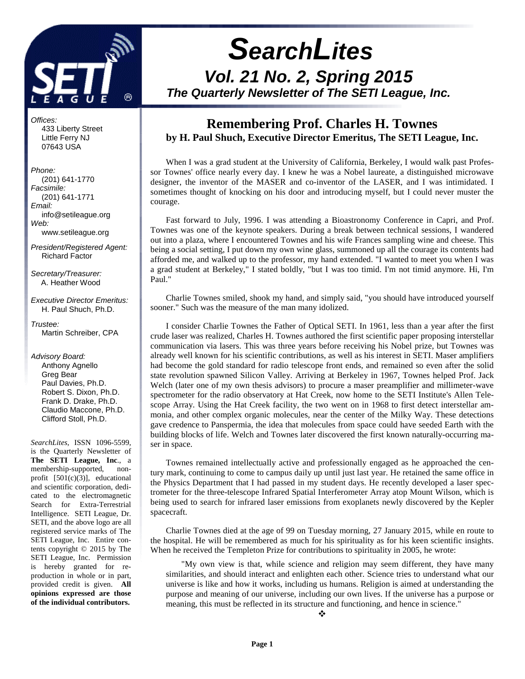

Offices: 433 Liberty Street Little Ferry NJ 07643 USA

Phone: (201) 641-1770 Facsimile: (201) 641-1771 Email: info@setileague.org Web: www.setileague.org

President/Registered Agent: Richard Factor

Secretary/Treasurer: A. Heather Wood

Executive Director Emeritus: H. Paul Shuch, Ph.D.

Trustee<sup>.</sup> Martin Schreiber, CPA

Advisory Board: Anthony Agnello Greg Bear Paul Davies, Ph.D. Robert S. Dixon, Ph.D. Frank D. Drake, Ph.D. Claudio Maccone, Ph.D. Clifford Stoll, Ph.D.

*SearchLites*, ISSN 1096-5599, is the Quarterly Newsletter of **The SETI League, Inc**., a membership-supported, nonprofit [501(c)(3)], educational and scientific corporation, dedicated to the electromagnetic Search for Extra-Terrestrial Intelligence. SETI League, Dr. SETI, and the above logo are all registered service marks of The SETI League, Inc. Entire contents copyright © 2015 by The SETI League, Inc. Permission is hereby granted for reproduction in whole or in part, provided credit is given. **All opinions expressed are those of the individual contributors.** 

# **SearchLites Vol. 21 No. 2, Spring 2015 The Quarterly Newsletter of The SETI League, Inc.**

## **Remembering Prof. Charles H. Townes by H. Paul Shuch, Executive Director Emeritus, The SETI League, Inc.**

When I was a grad student at the University of California, Berkeley, I would walk past Professor Townes' office nearly every day. I knew he was a Nobel laureate, a distinguished microwave designer, the inventor of the MASER and co-inventor of the LASER, and I was intimidated. I sometimes thought of knocking on his door and introducing myself, but I could never muster the courage.

Fast forward to July, 1996. I was attending a Bioastronomy Conference in Capri, and Prof. Townes was one of the keynote speakers. During a break between technical sessions, I wandered out into a plaza, where I encountered Townes and his wife Frances sampling wine and cheese. This being a social setting, I put down my own wine glass, summoned up all the courage its contents had afforded me, and walked up to the professor, my hand extended. "I wanted to meet you when I was a grad student at Berkeley," I stated boldly, "but I was too timid. I'm not timid anymore. Hi, I'm Paul."

Charlie Townes smiled, shook my hand, and simply said, "you should have introduced yourself sooner." Such was the measure of the man many idolized.

I consider Charlie Townes the Father of Optical SETI. In 1961, less than a year after the first crude laser was realized, Charles H. Townes authored the first scientific paper proposing interstellar communication via lasers. This was three years before receiving his Nobel prize, but Townes was already well known for his scientific contributions, as well as his interest in SETI. Maser amplifiers had become the gold standard for radio telescope front ends, and remained so even after the solid state revolution spawned Silicon Valley. Arriving at Berkeley in 1967, Townes helped Prof. Jack Welch (later one of my own thesis advisors) to procure a maser preamplifier and millimeter-wave spectrometer for the radio observatory at Hat Creek, now home to the SETI Institute's Allen Telescope Array. Using the Hat Creek facility, the two went on in 1968 to first detect interstellar ammonia, and other complex organic molecules, near the center of the Milky Way. These detections gave credence to Panspermia, the idea that molecules from space could have seeded Earth with the building blocks of life. Welch and Townes later discovered the first known naturally-occurring maser in space.

Townes remained intellectually active and professionally engaged as he approached the century mark, continuing to come to campus daily up until just last year. He retained the same office in the Physics Department that I had passed in my student days. He recently developed a laser spectrometer for the three-telescope Infrared Spatial Interferometer Array atop Mount Wilson, which is being used to search for infrared laser emissions from exoplanets newly discovered by the Kepler spacecraft.

Charlie Townes died at the age of 99 on Tuesday morning, 27 January 2015, while en route to the hospital. He will be remembered as much for his spirituality as for his keen scientific insights. When he received the Templeton Prize for contributions to spirituality in 2005, he wrote:

"My own view is that, while science and religion may seem different, they have many similarities, and should interact and enlighten each other. Science tries to understand what our universe is like and how it works, including us humans. Religion is aimed at understanding the purpose and meaning of our universe, including our own lives. If the universe has a purpose or meaning, this must be reflected in its structure and functioning, and hence in science."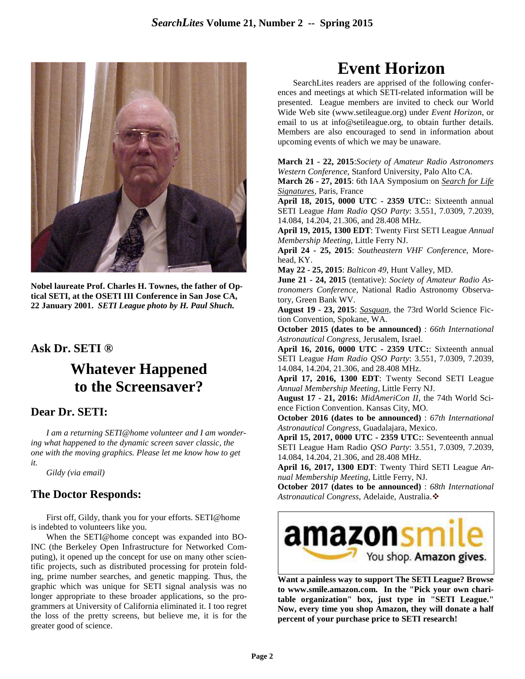

**Nobel laureate Prof. Charles H. Townes, the father of Optical SETI, at the OSETI III Conference in San Jose CA, 22 January 2001.** *SETI League photo by H. Paul Shuch.*

## **Ask Dr. SETI ®**

# **Whatever Happened to the Screensaver?**

#### **Dear Dr. SETI:**

*I am a returning SETI@home volunteer and I am wondering what happened to the dynamic screen saver classic, the one with the moving graphics. Please let me know how to get it.* 

 *Gildy (via email)* 

## **The Doctor Responds:**

First off, Gildy, thank you for your efforts. SETI@home is indebted to volunteers like you.

When the SETI@home concept was expanded into BO-INC (the Berkeley Open Infrastructure for Networked Computing), it opened up the concept for use on many other scientific projects, such as distributed processing for protein folding, prime number searches, and genetic mapping. Thus, the graphic which was unique for SETI signal analysis was no longer appropriate to these broader applications, so the programmers at University of California eliminated it. I too regret the loss of the pretty screens, but believe me, it is for the greater good of science.

# **Event Horizon**

SearchLites readers are apprised of the following conferences and meetings at which SETI-related information will be presented. League members are invited to check our World Wide Web site (www.setileague.org) under *Event Horizon*, or email to us at info@setileague.org, to obtain further details. Members are also encouraged to send in information about upcoming events of which we may be unaware.

**March 21 - 22, 2015**:*Society of Amateur Radio Astronomers Western Conference*, Stanford University, Palo Alto CA.

**March 26 - 27, 2015**: 6th IAA Symposium on *Search for Life Signatures*, Paris, France

**April 18, 2015, 0000 UTC - 2359 UTC:**: Sixteenth annual SETI League *Ham Radio QSO Party*: 3.551, 7.0309, 7.2039, 14.084, 14.204, 21.306, and 28.408 MHz.

**April 19, 2015, 1300 EDT**: Twenty First SETI League *Annual Membership Meeting*, Little Ferry NJ.

**April 24 - 25, 2015**: *Southeastern VHF Conference*, Morehead, KY.

**May 22 - 25, 2015**: *Balticon 49*, Hunt Valley, MD.

**June 21 - 24, 2015** (tentative): *Society of Amateur Radio Astronomers Conference*, National Radio Astronomy Observatory, Green Bank WV.

**August 19 - 23, 2015**: *Sasquan*, the 73rd World Science Fiction Convention, Spokane, WA.

**October 2015 (dates to be announced)** : *66th International Astronautical Congress*, Jerusalem, Israel.

**April 16, 2016, 0000 UTC - 2359 UTC:**: Sixteenth annual SETI League *Ham Radio QSO Party*: 3.551, 7.0309, 7.2039, 14.084, 14.204, 21.306, and 28.408 MHz.

**April 17, 2016, 1300 EDT**: Twenty Second SETI League *Annual Membership Meeting*, Little Ferry NJ.

**August 17 - 21, 2016:** *MidAmeriCon II*, the 74th World Science Fiction Convention. Kansas City, MO.

**October 2016 (dates to be announced)** : *67th International Astronautical Congress*, Guadalajara, Mexico.

**April 15, 2017, 0000 UTC - 2359 UTC:**: Seventeenth annual SETI League Ham Radio *QSO Party*: 3.551, 7.0309, 7.2039, 14.084, 14.204, 21.306, and 28.408 MHz.

**April 16, 2017, 1300 EDT**: Twenty Third SETI League *Annual Membership Meeting*, Little Ferry, NJ.

**October 2017 (dates to be announced)** : *68th International Astronautical Congress*, Adelaide, Australia.❖



**Want a painless way to support The SETI League? Browse to www.smile.amazon.com. In the "Pick your own charitable organization" box, just type in "SETI League." Now, every time you shop Amazon, they will donate a half percent of your purchase price to SETI research!**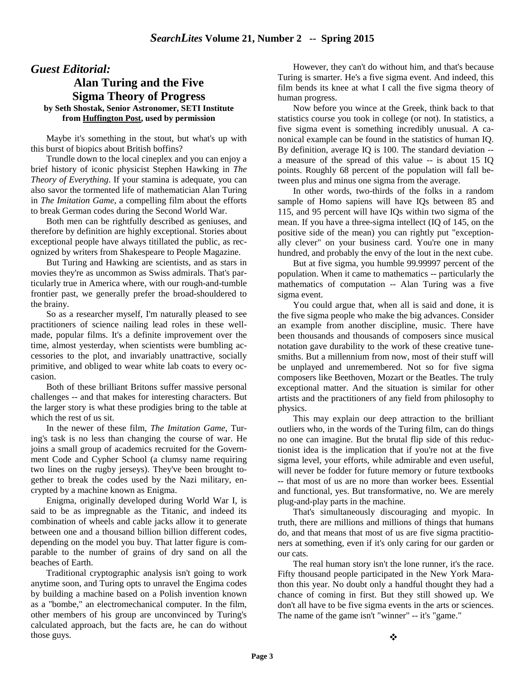#### *Guest Editorial:*

#### **Alan Turing and the Five Sigma Theory of Progress by Seth Shostak, Senior Astronomer, SETI Institute from Huffington Post, used by permission**

Maybe it's something in the stout, but what's up with this burst of biopics about British boffins?

Trundle down to the local cineplex and you can enjoy a brief history of iconic physicist Stephen Hawking in *The Theory of Everything*. If your stamina is adequate, you can also savor the tormented life of mathematician Alan Turing in *The Imitation Game*, a compelling film about the efforts to break German codes during the Second World War.

Both men can be rightfully described as geniuses, and therefore by definition are highly exceptional. Stories about exceptional people have always titillated the public, as recognized by writers from Shakespeare to People Magazine.

But Turing and Hawking are scientists, and as stars in movies they're as uncommon as Swiss admirals. That's particularly true in America where, with our rough-and-tumble frontier past, we generally prefer the broad-shouldered to the brainy.

So as a researcher myself, I'm naturally pleased to see practitioners of science nailing lead roles in these wellmade, popular films. It's a definite improvement over the time, almost yesterday, when scientists were bumbling accessories to the plot, and invariably unattractive, socially primitive, and obliged to wear white lab coats to every occasion.

Both of these brilliant Britons suffer massive personal challenges -- and that makes for interesting characters. But the larger story is what these prodigies bring to the table at which the rest of us sit.

In the newer of these film, *The Imitation Game*, Turing's task is no less than changing the course of war. He joins a small group of academics recruited for the Government Code and Cypher School (a clumsy name requiring two lines on the rugby jerseys). They've been brought together to break the codes used by the Nazi military, encrypted by a machine known as Enigma.

Enigma, originally developed during World War I, is said to be as impregnable as the Titanic, and indeed its combination of wheels and cable jacks allow it to generate between one and a thousand billion billion different codes, depending on the model you buy. That latter figure is comparable to the number of grains of dry sand on all the beaches of Earth.

Traditional cryptographic analysis isn't going to work anytime soon, and Turing opts to unravel the Engima codes by building a machine based on a Polish invention known as a "bombe," an electromechanical computer. In the film, other members of his group are unconvinced by Turing's calculated approach, but the facts are, he can do without those guys.

However, they can't do without him, and that's because Turing is smarter. He's a five sigma event. And indeed, this film bends its knee at what I call the five sigma theory of human progress.

Now before you wince at the Greek, think back to that statistics course you took in college (or not). In statistics, a five sigma event is something incredibly unusual. A canonical example can be found in the statistics of human IQ. By definition, average IQ is 100. The standard deviation - a measure of the spread of this value -- is about 15 IQ points. Roughly 68 percent of the population will fall between plus and minus one sigma from the average.

In other words, two-thirds of the folks in a random sample of Homo sapiens will have IQs between 85 and 115, and 95 percent will have IQs within two sigma of the mean. If you have a three-sigma intellect (IQ of 145, on the positive side of the mean) you can rightly put "exceptionally clever" on your business card. You're one in many hundred, and probably the envy of the lout in the next cube.

But at five sigma, you humble 99.99997 percent of the population. When it came to mathematics -- particularly the mathematics of computation -- Alan Turing was a five sigma event.

You could argue that, when all is said and done, it is the five sigma people who make the big advances. Consider an example from another discipline, music. There have been thousands and thousands of composers since musical notation gave durability to the work of these creative tunesmiths. But a millennium from now, most of their stuff will be unplayed and unremembered. Not so for five sigma composers like Beethoven, Mozart or the Beatles. The truly exceptional matter. And the situation is similar for other artists and the practitioners of any field from philosophy to physics.

This may explain our deep attraction to the brilliant outliers who, in the words of the Turing film, can do things no one can imagine. But the brutal flip side of this reductionist idea is the implication that if you're not at the five sigma level, your efforts, while admirable and even useful, will never be fodder for future memory or future textbooks -- that most of us are no more than worker bees. Essential and functional, yes. But transformative, no. We are merely plug-and-play parts in the machine.

That's simultaneously discouraging and myopic. In truth, there are millions and millions of things that humans do, and that means that most of us are five sigma practitioners at something, even if it's only caring for our garden or our cats.

The real human story isn't the lone runner, it's the race. Fifty thousand people participated in the New York Marathon this year. No doubt only a handful thought they had a chance of coming in first. But they still showed up. We don't all have to be five sigma events in the arts or sciences. The name of the game isn't "winner" -- it's "game."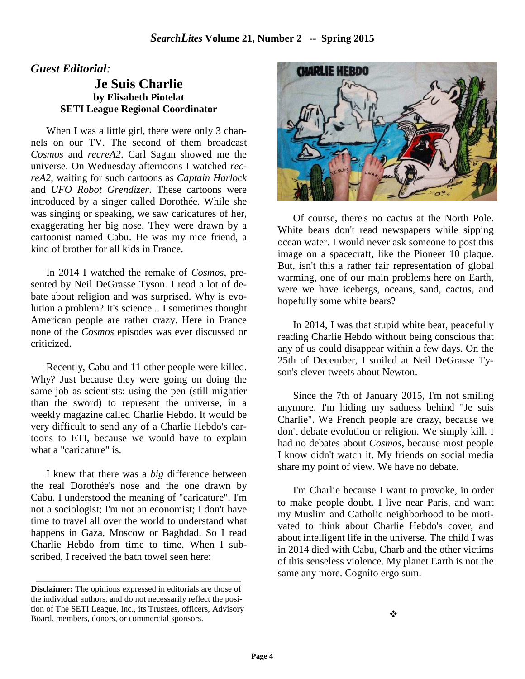#### *Guest Editorial:*

#### **Je Suis Charlie by Elisabeth Piotelat SETI League Regional Coordinator**

When I was a little girl, there were only 3 channels on our TV. The second of them broadcast *Cosmos* and *recreA2*. Carl Sagan showed me the universe. On Wednesday afternoons I watched *recreA2*, waiting for such cartoons as *Captain Harlock* and *UFO Robot Grendizer*. These cartoons were introduced by a singer called Dorothée. While she was singing or speaking, we saw caricatures of her, exaggerating her big nose. They were drawn by a cartoonist named Cabu. He was my nice friend, a kind of brother for all kids in France.

In 2014 I watched the remake of *Cosmos*, presented by Neil DeGrasse Tyson. I read a lot of debate about religion and was surprised. Why is evolution a problem? It's science... I sometimes thought American people are rather crazy. Here in France none of the *Cosmos* episodes was ever discussed or criticized.

Recently, Cabu and 11 other people were killed. Why? Just because they were going on doing the same job as scientists: using the pen (still mightier than the sword) to represent the universe, in a weekly magazine called Charlie Hebdo. It would be very difficult to send any of a Charlie Hebdo's cartoons to ETI, because we would have to explain what a "caricature" is.

I knew that there was a *big* difference between the real Dorothée's nose and the one drawn by Cabu. I understood the meaning of "caricature". I'm not a sociologist; I'm not an economist; I don't have time to travel all over the world to understand what happens in Gaza, Moscow or Baghdad. So I read Charlie Hebdo from time to time. When I subscribed, I received the bath towel seen here:



Of course, there's no cactus at the North Pole. White bears don't read newspapers while sipping ocean water. I would never ask someone to post this image on a spacecraft, like the Pioneer 10 plaque. But, isn't this a rather fair representation of global warming, one of our main problems here on Earth, were we have icebergs, oceans, sand, cactus, and hopefully some white bears?

In 2014, I was that stupid white bear, peacefully reading Charlie Hebdo without being conscious that any of us could disappear within a few days. On the 25th of December, I smiled at Neil DeGrasse Tyson's clever tweets about Newton.

Since the 7th of January 2015, I'm not smiling anymore. I'm hiding my sadness behind "Je suis Charlie". We French people are crazy, because we don't debate evolution or religion. We simply kill. I had no debates about *Cosmos*, because most people I know didn't watch it. My friends on social media share my point of view. We have no debate.

I'm Charlie because I want to provoke, in order to make people doubt. I live near Paris, and want my Muslim and Catholic neighborhood to be motivated to think about Charlie Hebdo's cover, and about intelligent life in the universe. The child I was in 2014 died with Cabu, Charb and the other victims of this senseless violence. My planet Earth is not the same any more. Cognito ergo sum.

**Disclaimer:** The opinions expressed in editorials are those of the individual authors, and do not necessarily reflect the position of The SETI League, Inc., its Trustees, officers, Advisory Board, members, donors, or commercial sponsors.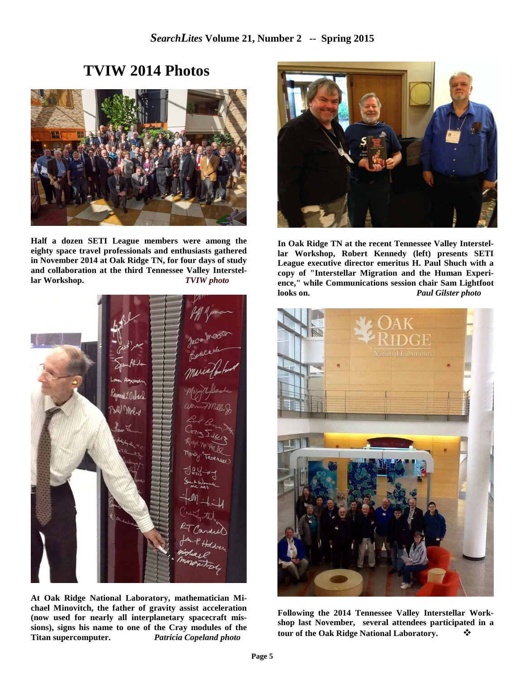# **TVIW 2014 Photos**



**Half a dozen SETI League members were among the eighty space travel professionals and enthusiasts gathered in November 2014 at Oak Ridge TN, for four days of study and collaboration at the third Tennessee Valley Interstellar Workshop.** *TVIW photo* 



**At Oak Ridge National Laboratory, mathematician Michael Minovitch, the father of gravity assist acceleration (now used for nearly all interplanetary spacecraft missions), signs his name to one of the Cray modules of the Titan supercomputer.** *Patricia Copeland photo* 



**In Oak Ridge TN at the recent Tennessee Valley Interstellar Workshop, Robert Kennedy (left) presents SETI League executive director emeritus H. Paul Shuch with a copy of "Interstellar Migration and the Human Experience," while Communications session chair Sam Lightfoot looks on.** *Paul Gilster photo*



**Following the 2014 Tennessee Valley Interstellar Workshop last November, several attendees participated in a tour of the Oak Ridge National Laboratory.** -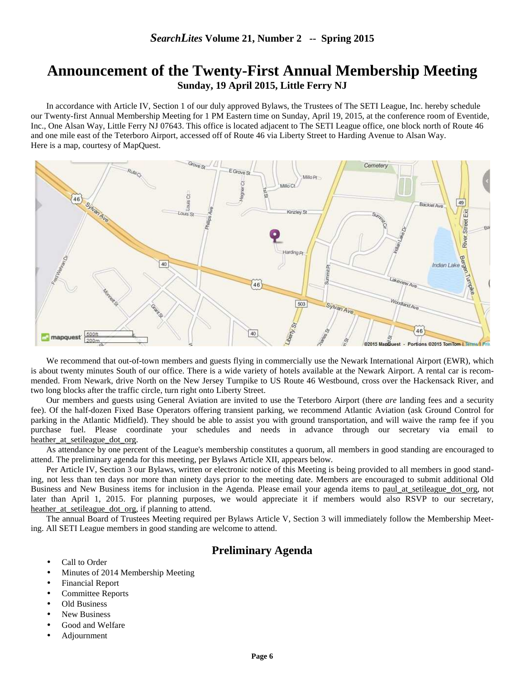## **Announcement of the Twenty-First Annual Membership Meeting Sunday, 19 April 2015, Little Ferry NJ**

 In accordance with Article IV, Section 1 of our duly approved Bylaws, the Trustees of The SETI League, Inc. hereby schedule our Twenty-first Annual Membership Meeting for 1 PM Eastern time on Sunday, April 19, 2015, at the conference room of Eventide, Inc., One Alsan Way, Little Ferry NJ 07643. This office is located adjacent to The SETI League office, one block north of Route 46 and one mile east of the Teterboro Airport, accessed off of Route 46 via Liberty Street to Harding Avenue to Alsan Way. Here is a map, courtesy of MapQuest.



We recommend that out-of-town members and guests flying in commercially use the Newark International Airport (EWR), which is about twenty minutes South of our office. There is a wide variety of hotels available at the Newark Airport. A rental car is recommended. From Newark, drive North on the New Jersey Turnpike to US Route 46 Westbound, cross over the Hackensack River, and two long blocks after the traffic circle, turn right onto Liberty Street.

Our members and guests using General Aviation are invited to use the Teterboro Airport (there *are* landing fees and a security fee). Of the half-dozen Fixed Base Operators offering transient parking, we recommend Atlantic Aviation (ask Ground Control for parking in the Atlantic Midfield). They should be able to assist you with ground transportation, and will waive the ramp fee if you purchase fuel. Please coordinate your schedules and needs in advance through our secretary via email to heather at setileague dot org.

As attendance by one percent of the League's membership constitutes a quorum, all members in good standing are encouraged to attend. The preliminary agenda for this meeting, per Bylaws Article XII, appears below.

Per Article IV, Section 3 our Bylaws, written or electronic notice of this Meeting is being provided to all members in good standing, not less than ten days nor more than ninety days prior to the meeting date. Members are encouraged to submit additional Old Business and New Business items for inclusion in the Agenda. Please email your agenda items to paul at setileague dot org, not later than April 1, 2015. For planning purposes, we would appreciate it if members would also RSVP to our secretary, heather\_at\_setileague\_dot\_org, if planning to attend.

The annual Board of Trustees Meeting required per Bylaws Article V, Section 3 will immediately follow the Membership Meeting. All SETI League members in good standing are welcome to attend.

#### **Preliminary Agenda**

- Call to Order
- Minutes of 2014 Membership Meeting
- Financial Report
- Committee Reports
- Old Business
- New Business
- Good and Welfare
- Adjournment